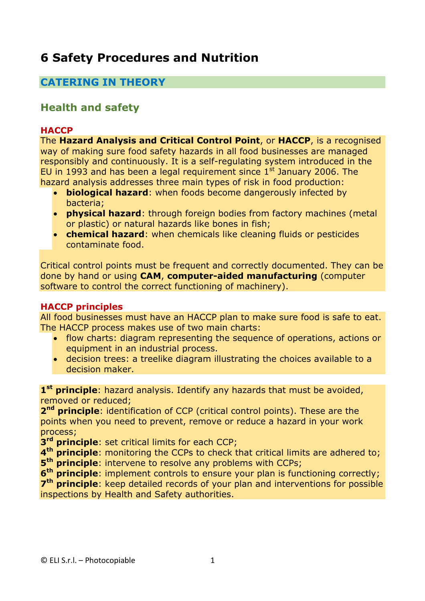# **6 Safety Procedures and Nutrition**

# **CATERING IN THEORY**

# **Health and safety**

#### **HACCP**

The **Hazard Analysis and Critical Control Point**, or **HACCP**, is a recognised way of making sure food safety hazards in all food businesses are managed responsibly and continuously. It is a self-regulating system introduced in the EU in 1993 and has been a legal requirement since  $1<sup>st</sup>$  January 2006. The hazard analysis addresses three main types of risk in food production:

- **biological hazard**: when foods become dangerously infected by bacteria;
- **physical hazard**: through foreign bodies from factory machines (metal or plastic) or natural hazards like bones in fish;
- **chemical hazard**: when chemicals like cleaning fluids or pesticides contaminate food.

Critical control points must be frequent and correctly documented. They can be done by hand or using **CAM**, **computer-aided manufacturing** (computer software to control the correct functioning of machinery).

#### **HACCP principles**

All food businesses must have an HACCP plan to make sure food is safe to eat. The HACCP process makes use of two main charts:

- flow charts: diagram representing the sequence of operations, actions or equipment in an industrial process.
- decision trees: a treelike diagram illustrating the choices available to a decision maker.

**1 st principle**: hazard analysis. Identify any hazards that must be avoided, removed or reduced;

**2<sup>nd</sup> principle**: identification of CCP (critical control points). These are the points when you need to prevent, remove or reduce a hazard in your work process;

**3 rd principle**: set critical limits for each CCP;

**4 th principle**: monitoring the CCPs to check that critical limits are adhered to; **5 th principle**: intervene to resolve any problems with CCPs;

**6 th principle**: implement controls to ensure your plan is functioning correctly;

7<sup>th</sup> principle: keep detailed records of your plan and interventions for possible inspections by Health and Safety authorities.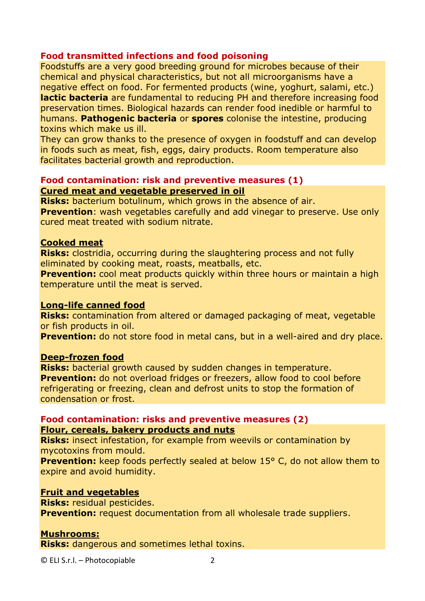#### **Food transmitted infections and food poisoning**

Foodstuffs are a very good breeding ground for microbes because of their chemical and physical characteristics, but not all microorganisms have a negative effect on food. For fermented products (wine, yoghurt, salami, etc.) **lactic bacteria** are fundamental to reducing PH and therefore increasing food preservation times. Biological hazards can render food inedible or harmful to humans. **Pathogenic bacteria** or **spores** colonise the intestine, producing toxins which make us ill.

They can grow thanks to the presence of oxygen in foodstuff and can develop in foods such as meat, fish, eggs, dairy products. Room temperature also facilitates bacterial growth and reproduction.

#### **Food contamination: risk and preventive measures (1) Cured meat and vegetable preserved in oil**

**Risks:** bacterium botulinum, which grows in the absence of air. **Prevention:** wash vegetables carefully and add vinegar to preserve. Use only cured meat treated with sodium nitrate.

#### **Cooked meat**

**Risks:** clostridia, occurring during the slaughtering process and not fully eliminated by cooking meat, roasts, meatballs, etc.

**Prevention:** cool meat products quickly within three hours or maintain a high temperature until the meat is served.

#### **Long-life canned food**

**Risks:** contamination from altered or damaged packaging of meat, vegetable or fish products in oil.

**Prevention:** do not store food in metal cans, but in a well-aired and dry place.

#### **Deep-frozen food**

**Risks:** bacterial growth caused by sudden changes in temperature. **Prevention:** do not overload fridges or freezers, allow food to cool before refrigerating or freezing, clean and defrost units to stop the formation of condensation or frost.

#### **Food contamination: risks and preventive measures (2) Flour, cereals, bakery products and nuts**

**Risks:** insect infestation, for example from weevils or contamination by mycotoxins from mould.

**Prevention:** keep foods perfectly sealed at below 15° C, do not allow them to expire and avoid humidity.

#### **Fruit and vegetables**

**Risks:** residual pesticides.

**Prevention:** request documentation from all wholesale trade suppliers.

#### **Mushrooms:**

**Risks:** dangerous and sometimes lethal toxins.

© ELI S.r.l. – Photocopiable 2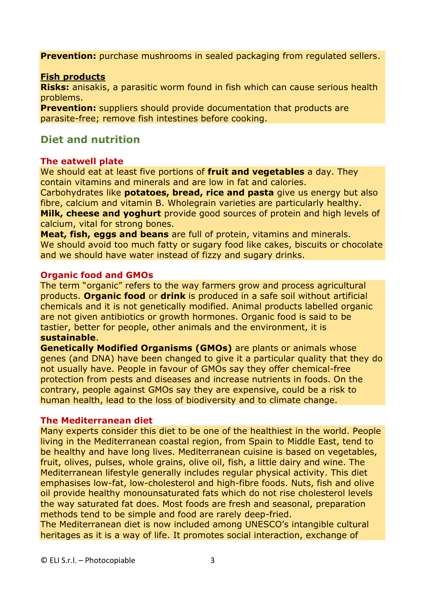**Prevention:** purchase mushrooms in sealed packaging from regulated sellers.

#### **Fish products**

**Risks:** anisakis, a parasitic worm found in fish which can cause serious health problems.

**Prevention:** suppliers should provide documentation that products are parasite-free; remove fish intestines before cooking.

### **Diet and nutrition**

#### **The eatwell plate**

We should eat at least five portions of **fruit and vegetables** a day. They contain vitamins and minerals and are low in fat and calories.

Carbohydrates like **potatoes, bread, rice and pasta** give us energy but also fibre, calcium and vitamin B. Wholegrain varieties are particularly healthy. **Milk, cheese and yoghurt** provide good sources of protein and high levels of calcium, vital for strong bones.

**Meat, fish, eggs and beans** are full of protein, vitamins and minerals. We should avoid too much fatty or sugary food like cakes, biscuits or chocolate and we should have water instead of fizzy and sugary drinks.

#### **Organic food and GMOs**

The term "organic" refers to the way farmers grow and process agricultural products. **Organic food** or **drink** is produced in a safe soil without artificial chemicals and it is not genetically modified. Animal products labelled organic are not given antibiotics or growth hormones. Organic food is said to be tastier, better for people, other animals and the environment, it is **sustainable**.

**Genetically Modified Organisms (GMOs)** are plants or animals whose genes (and DNA) have been changed to give it a particular quality that they do not usually have. People in favour of GMOs say they offer chemical-free protection from pests and diseases and increase nutrients in foods. On the contrary, people against GMOs say they are expensive, could be a risk to human health, lead to the loss of biodiversity and to climate change.

#### **The Mediterranean diet**

Many experts consider this diet to be one of the healthiest in the world. People living in the Mediterranean coastal region, from Spain to Middle East, tend to be healthy and have long lives. Mediterranean cuisine is based on vegetables, fruit, olives, pulses, whole grains, olive oil, fish, a little dairy and wine. The Mediterranean lifestyle generally includes regular physical activity. This diet emphasises low-fat, low-cholesterol and high-fibre foods. Nuts, fish and olive oil provide healthy monounsaturated fats which do not rise cholesterol levels the way saturated fat does. Most foods are fresh and seasonal, preparation methods tend to be simple and food are rarely deep-fried.

The Mediterranean diet is now included among UNESCO's intangible cultural heritages as it is a way of life. It promotes social interaction, exchange of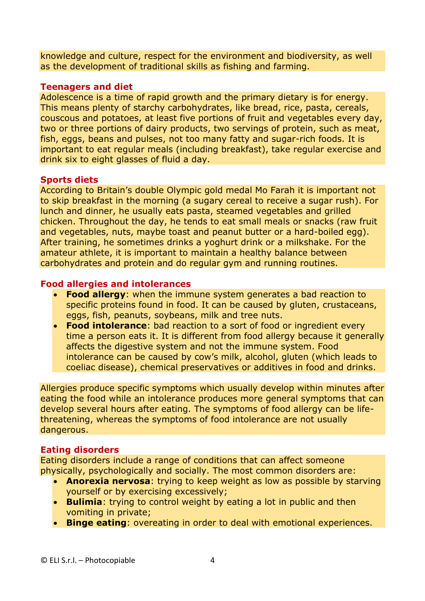knowledge and culture, respect for the environment and biodiversity, as well as the development of traditional skills as fishing and farming.

#### **Teenagers and diet**

Adolescence is a time of rapid growth and the primary dietary is for energy. This means plenty of starchy carbohydrates, like bread, rice, pasta, cereals, couscous and potatoes, at least five portions of fruit and vegetables every day, two or three portions of dairy products, two servings of protein, such as meat, fish, eggs, beans and pulses, not too many fatty and sugar-rich foods. It is important to eat regular meals (including breakfast), take regular exercise and drink six to eight glasses of fluid a day.

#### **Sports diets**

According to Britain's double Olympic gold medal Mo Farah it is important not to skip breakfast in the morning (a sugary cereal to receive a sugar rush). For lunch and dinner, he usually eats pasta, steamed vegetables and grilled chicken. Throughout the day, he tends to eat small meals or snacks (raw fruit and vegetables, nuts, maybe toast and peanut butter or a hard-boiled egg). After training, he sometimes drinks a yoghurt drink or a milkshake. For the amateur athlete, it is important to maintain a healthy balance between carbohydrates and protein and do regular gym and running routines.

#### **Food allergies and intolerances**

- **Food allergy**: when the immune system generates a bad reaction to specific proteins found in food. It can be caused by gluten, crustaceans, eggs, fish, peanuts, soybeans, milk and tree nuts.
- **Food intolerance**: bad reaction to a sort of food or ingredient every time a person eats it. It is different from food allergy because it generally affects the digestive system and not the immune system. Food intolerance can be caused by cow's milk, alcohol, gluten (which leads to coeliac disease), chemical preservatives or additives in food and drinks.

Allergies produce specific symptoms which usually develop within minutes after eating the food while an intolerance produces more general symptoms that can develop several hours after eating. The symptoms of food allergy can be lifethreatening, whereas the symptoms of food intolerance are not usually dangerous.

#### **Eating disorders**

Eating disorders include a range of conditions that can affect someone physically, psychologically and socially. The most common disorders are:

- **Anorexia nervosa**: trying to keep weight as low as possible by starving yourself or by exercising excessively;
- **Bulimia**: trying to control weight by eating a lot in public and then vomiting in private;
- **Binge eating**: overeating in order to deal with emotional experiences.